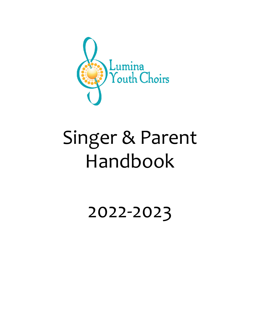

# Singer & Parent Handbook

2022-2023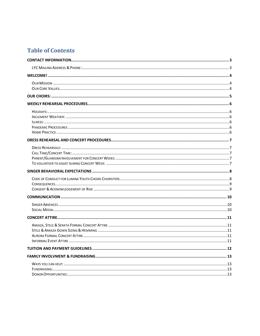# **Table of Contents**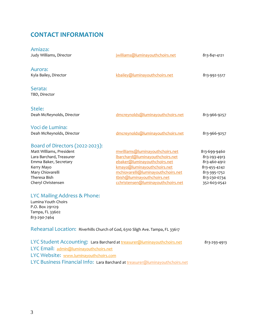# <span id="page-2-0"></span>**CONTACT INFORMATION**

| Amiaza:<br>Judy Williams, Director                                                                                                                                                       | jwilliams@luminayouthchoirs.net                                                                                                                                                                                                              | 813-841-4121                                                                                                 |
|------------------------------------------------------------------------------------------------------------------------------------------------------------------------------------------|----------------------------------------------------------------------------------------------------------------------------------------------------------------------------------------------------------------------------------------------|--------------------------------------------------------------------------------------------------------------|
| Aurora:<br>Kyla Bailey, Director                                                                                                                                                         | kbailey@luminayouthchoirs.net                                                                                                                                                                                                                | 813-992-5517                                                                                                 |
| Serata:<br>TBD, Director                                                                                                                                                                 |                                                                                                                                                                                                                                              |                                                                                                              |
| Stele:<br>Deah McReynolds, Director                                                                                                                                                      | dmcreynolds@luminayouthchoirs.net                                                                                                                                                                                                            | 813-966-9257                                                                                                 |
| Voci de Lumina:<br>Deah McReynolds, Director                                                                                                                                             | dmcreynolds@luminayouthchoirs.net                                                                                                                                                                                                            | 813-966-9257                                                                                                 |
| Board of Directors (2022-2023):<br>Matt Williams, President<br>Lara Barchard, Treasurer<br>Emma Baker, Secretary<br>Kerry Mayo<br>Mary Chiovarelli<br>Theresa Bish<br>Cheryl Christensen | mwilliams@luminayouthchoirs.net<br>Ibarchard@luminayouthchoirs.net<br>ebaker@luminayouthchoirs.net<br>kmayo@luminayouthchoirs.net<br>mchiovarelli@luminayouthchoirs.net<br>tbish@luminayouthchoirs.net<br>cchristensen@luminayouthchoirs.net | 813-699-9460<br>813-293-4913<br>813-460-4912<br>813-455-4242<br>813-395-1752<br>813-230-0734<br>352-603-0542 |

# <span id="page-2-1"></span>LYC Mailing Address & Phone:

Lumina Youth Choirs P.O. Box 291129 Tampa, FL 33602 813-290-7464

Rehearsal Location: Riverhills Church of God, 6310 Sligh Ave. Tampa, FL 33617

LYC Student Accounting: Lara Barchard at [treasurer@luminayouthchoirs.net](mailto:treasurer@luminayouthchoirs.net) 813-293-4913 LYC Email: [admin@luminayouthchoirs.net](mailto:admin@luminayouthchoirs.net) LYC Website: [www.luminayouthchoirs.com](http://www.luminayouthchoirs.com/) LYC Business Financial Info: Lara Barchard at [treasurer@luminayouthchoirs.net](mailto:treasurer@luminayouthchoirs.net)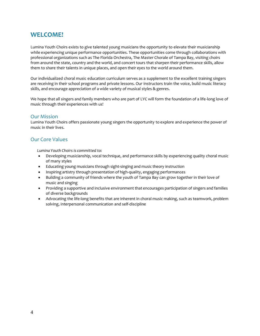# <span id="page-3-0"></span>**WELCOME!**

Lumina Youth Choirs exists to give talented young musicians the opportunity to elevate their musicianship while experiencing unique performance opportunities. These opportunities come through collaborations with professional organizations such as The Florida Orchestra, The Master Chorale of Tampa Bay, visiting choirs from around the state, country and the world, and concert tours that sharpen their performance skills, allow them to share their talents in unique places, and open their eyes to the world around them.

Our individualized choral music education curriculum serves as a supplement to the excellent training singers are receiving in their school programs and private lessons. Our instructors train the voice, build music literacy skills, and encourage appreciation of a wide variety of musical styles & genres.

We hope that all singers and family members who are part of LYC will form the foundation of a life-long love of music through their experiences with us!

## <span id="page-3-1"></span>Our Mission

Lumina Youth Choirs offers passionate young singers the opportunity to explore and experience the power of music in their lives.

# <span id="page-3-2"></span>Our Core Values

*Lumina Youth Choirs is committed to:*

- Developing musicianship, vocal technique, and performance skills by experiencing quality choral music of many styles
- Educating young musicians through sight-singing and music theory instruction
- Inspiring artistry through presentation of high-quality, engaging performances
- Building a community of friends where the youth of Tampa Bay can grow together in their love of music and singing
- Providing a supportive and inclusive environment that encourages participation of singers and families of diverse backgrounds
- Advocating the life-long benefits that are inherent in choral music making, such as teamwork, problem solving, interpersonal communication and self-discipline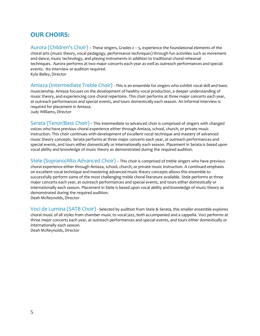# <span id="page-4-0"></span>**OUR CHOIRS:**

Aurora (Children's Choir) – These singers, Grades 2 – 5, experience the foundational elements of the choral arts (music theory, vocal pedagogy, performance techniques) through fun activities such as movement and dance, music technology, and playing instruments in addition to traditional choral rehearsal techniques. Aurora performs at two major concerts each year as well as outreach performances and special events. No interview or audition required. Kyla Bailey, Director

Amiaza (Intermediate Treble Choir) - This is an ensemble for singers who exhibit vocal skill and basic musicianship. Amiaza focuses on the development of healthy vocal production, a deeper understanding of music theory, and experiencing core choral repertoire. This choir performs at three major concerts each year, at outreach performances and special events, and tours domestically each season. An informal interview is required for placement in Amiaza.

Judy Williams, Director

Serata (Tenor/Bass Choir) – This intermediate to advanced choir is comprised of singers with changed voices who have previous choral experience either through Amiaza, school, church, or private music instruction. This choir continues with development of excellent vocal technique and mastery of advanced music theory concepts. Serata performs at three major concerts each year, at outreach performances and special events, and tours either domestically or internationally each season. Placement in Serata is based upon vocal ability and knowledge of music theory as demonstrated during the required audition.

Stele (Soprano/Alto Advanced Choir) – This choir is comprised of treble singers who have previous choral experience either through Amiaza, school, church, or private music instruction. A continued emphasis on excellent vocal technique and mastering advanced music theory concepts allows this ensemble to successfully perform some of the most challenging treble choral literature available. Stele performs at three major concerts each year, at outreach performances and special events, and tours either domestically or internationally each season. Placement in Stele is based upon vocal ability and knowledge of music theory as demonstrated during the required audition. Deah McReynolds, Director

Voci de Lumina (SATB Choir) - Selected by audition from Stele & Serata, this smaller ensemble explores choral music of all styles from chamber music to vocal jazz, both accompanied and a cappella. Voci performs at three major concerts each year, at outreach performances and special events, and tours either domestically or internationally each season.

Deah McReynolds, Director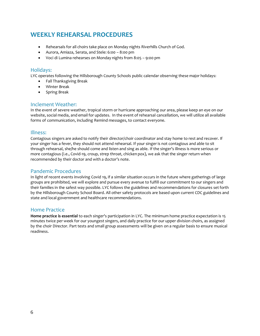# <span id="page-5-0"></span>**WEEKLY REHEARSAL PROCEDURES**

- Rehearsals for all choirs take place on Monday nights Riverhills Church of God.
- Aurora, Amiaza, Serata, and Stele: 6:00 8:00 pm
- Voci di Lumina rehearses on Monday nights from 8:05 9:00 pm

## <span id="page-5-1"></span>Holidays:

LYC operates following the Hillsborough County Schools public calendar observing these major holidays:

- Fall Thanksgiving Break
- Winter Break
- Spring Break

## <span id="page-5-2"></span>Inclement Weather:

In the event of severe weather, tropical storm or hurricane approaching our area, please keep an eye on our website, social media, and email for updates. In the event of rehearsal cancellation, we will utilize all available forms of communication, including Remind messages, to contact everyone.

## <span id="page-5-3"></span>Illness:

Contagious singers are asked to notify their director/choir coordinator and stay home to rest and recover. If your singer has a fever, they should not attend rehearsal. If your singer is not contagious and able to sit through rehearsal, she/he should come and listen and sing as able. If the singer's illness is more serious or more contagious (i.e., Covid-19, croup, strep throat, chicken pox), we ask that the singer return when recommended by their doctor and with a doctor's note.

# <span id="page-5-4"></span>Pandemic Procedures

In light of recent events involving Covid 19, if a similar situation occurs in the future where gatherings of large groups are prohibited, we will explore and pursue every avenue to fulfill our commitment to our singers and their families in the safest way possible. LYC follows the guidelines and recommendations for closures set forth by the Hillsborough County School Board. All other safety protocols are based upon current CDC guidelines and state and local government and healthcare recommendations.

## <span id="page-5-5"></span>Home Practice

**Home practice is essential** to each singer's participation in LYC. The minimum home practice expectation is 15 minutes twice per week for our youngest singers, and daily practice for our upper division choirs, as assigned by the choir Director. Part tests and small group assessments will be given on a regular basis to ensure musical readiness.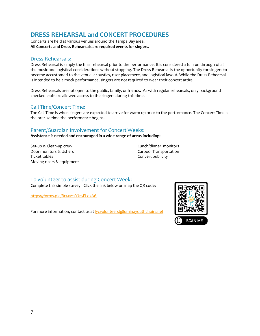# <span id="page-6-0"></span>**DRESS REHEARSAL and CONCERT PROCEDURES**

Concerts are held at various venues around the Tampa Bay area. **All Concerts and Dress Rehearsals are required events for singers.**

# <span id="page-6-1"></span>Dress Rehearsals:

Dress Rehearsal is simply the final rehearsal prior to the performance. It is considered a full run through of all the music and logistical considerations without stopping. The Dress Rehearsal is the opportunity for singers to become accustomed to the venue, acoustics, riser placement, and logistical layout. While the Dress Rehearsal is intended to be a mock performance, singers are not required to wear their concert attire.

Dress Rehearsals are not open to the public, family, or friends. As with regular rehearsals, only background checked staff are allowed access to the singers during this time.

# <span id="page-6-2"></span>Call Time/Concert Time:

The Call Time is when singers are expected to arrive for warm up prior to the performance. The Concert Time is the precise time the performance begins.

# <span id="page-6-3"></span>Parent/Guardian Involvement for Concert Weeks:

**Assistance is needed and encouraged in a wide range of areas including:**

Set-up & Clean-up crew Door monitors & Ushers Ticket tables Moving risers & equipment Lunch/dinner monitors Carpool Transportation Concert publicity

# <span id="page-6-4"></span>To volunteer to assist during Concert Week:

Complete this simple survey. Click the link below or snap the QR code:

<https://forms.gle/Br4xv1sYJr5FLq2A6>

For more information, contact us at [lycvolunteers@luminayouthchoirs.net](mailto:lycvolunteers@luminayouthchoirs.net)

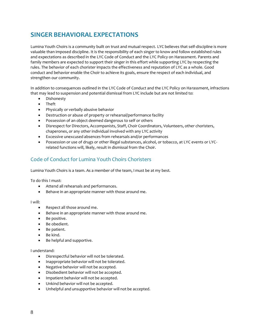# <span id="page-7-0"></span>**SINGER BEHAVIORAL EXPECTATIONS**

Lumina Youth Choirs is a community built on trust and mutual respect. LYC believes that self-discipline is more valuable than imposed discipline. It is the responsibility of each singer to know and follow established rules and expectations as described in the LYC Code of Conduct and the LYC Policy on Harassment. Parents and family members are expected to support their singer in this effort while supporting LYC by respecting the rules. The behavior of each chorister impacts the effectiveness and reputation of LYC as a whole. Good conduct and behavior enable the Choir to achieve its goals, ensure the respect of each individual, and strengthen our community.

In addition to consequences outlined in the LYC Code of Conduct and the LYC Policy on Harassment, infractions that may lead to suspension and potential dismissal from LYC include but are not limited to:

- Dishonesty
- Theft
- Physically or verbally abusive behavior
- Destruction or abuse of property or rehearsal/performance facility
- Possession of an object deemed dangerous to self or others
- Disrespect for Directors, Accompanists, Staff, Choir Coordinators, Volunteers, other choristers, chaperones, or any other individual involved with any LYC activity
- Excessive unexcused absences from rehearsals and/or performances
- Possession or use of drugs or other illegal substances, alcohol, or tobacco, at LYC events or LYCrelated functions will, likely, result in dismissal from the Choir.

# <span id="page-7-1"></span>Code of Conduct for Lumina Youth Choirs Choristers

Lumina Youth Choirs is a team. As a member of the team, I must be at my best.

To do this I must:

- Attend all rehearsals and performances.
- Behave in an appropriate manner with those around me.

#### I will:

- Respect all those around me.
- Behave in an appropriate manner with those around me.
- Be positive.
- Be obedient.
- Be patient.
- Be kind.
- Be helpful and supportive.

#### I understand:

- Disrespectful behavior will not be tolerated.
- Inappropriate behavior will not be tolerated.
- Negative behavior will not be accepted.
- Disobedient behavior will not be accepted.
- Impatient behavior will not be accepted.
- Unkind behavior will not be accepted.
- Unhelpful and unsupportive behavior will not be accepted.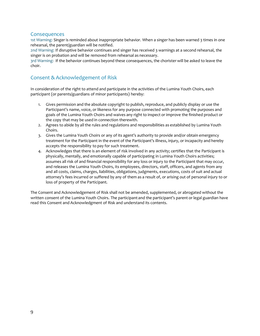## <span id="page-8-0"></span>**Consequences**

1st Warning: Singer is reminded about inappropriate behavior. When a singer has been warned 3 times in one rehearsal, the parent/guardian will be notified.

2nd Warning: If disruptive behavior continues and singer has received 3 warnings at a second rehearsal, the singer is on probation and will be removed from rehearsal as necessary.

3rd Warning: If the behavior continues beyond these consequences, the chorister will be asked to leave the choir.

# <span id="page-8-1"></span>Consent & Acknowledgement of Risk

In consideration of the right to attend and participate in the activities of the Lumina Youth Choirs, each participant (or parents/guardians of minor participants) hereby:

- 1. Gives permission and the absolute copyright to publish, reproduce, and publicly display or use the Participant's name, voice, or likeness for any purpose connected with promoting the purposes and goals of the Lumina Youth Choirs and waives any right to inspect or improve the finishedproduct or the copy that may be used in connection therewith.
- 2. Agrees to abide by all the rules and regulations and responsibilities as established by Lumina Youth Choirs.
- 3. Gives the Lumina Youth Choirs or any of its agent's authority to provide and/or obtain emergency treatment for the Participant in the event of the Participant's illness, injury, or incapacity and hereby accepts the responsibility to pay for such treatment.
- 4. Acknowledges that there is an element of risk involved in any activity; certifies that the Participant is physically, mentally, and emotionally capable of participating in Lumina Youth Choirs activities; assumes all risk of and financial responsibility for any loss or injury to the Participant that may occur, and releases the Lumina Youth Choirs, its employees, directors, staff, officers, and agents from any and all costs, claims, charges, liabilities, obligations, judgments, executions, costs of suit and actual attorney's fees incurred or suffered by any of them as a result of, or arising out of personal injury to or loss of property of the Participant.

The Consent and Acknowledgement of Risk shall not be amended, supplemented, or abrogated without the written consent of the Lumina Youth Choirs. The participant and the participant's parent or legal guardian have read this Consent and Acknowledgment of Risk and understand its contents.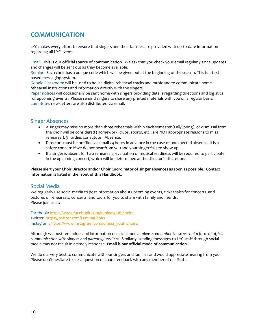# <span id="page-9-0"></span>**COMMUNICATION**

LYC makes every effort to ensure that singers and their families are provided with up-to-date information regarding all LYC events.

Email: **This is our official source of communication**. We ask that you check your email regularly since updates and changes will be sent out as they become available.

Remind: Each choir has a unique code which will be given out at the beginning of the season. This is a textbased messaging system.

Google Classroom: will be used to house digital rehearsal tracks and music and to communicate home rehearsal instructions and information directly with the singers.

Paper notices will occasionally be sent home with singers providing details regarding directions and logistics for upcoming events. Please remind singers to share any printed materials with you on a regular basis. LumiNotes newsletters are also distributed via email.

## <span id="page-9-1"></span>Singer Absences

- A singer may miss no more than **three** rehearsals within each semester (Fall/Spring), or dismissal from the choir will be considered (Homework, clubs, sports, etc., are NOT appropriate reasons to miss rehearsal). 3 Tardies constitute 1 Absence.
- Directors must be notified via email 24 hours in advance in the case of unexpected absence. It is a safety concern if we do not hear from you and your singer fails to show up.
- If a singer is absent for two rehearsals, evaluation of musical readiness will be required to participate in the upcoming concert, which will be determined at the director's discretion.

**Please alert your Choir Director and/or Choir Coordinator of singer absences as soon as possible. Contact information is listed in the front of this Handbook**.

# <span id="page-9-2"></span>Social Media

We regularly use social media to post information about upcoming events, ticket sales for concerts, and pictures of rehearsals, concerts, and tours for you to share with family and friends. Please join us at:

Facebook[: https://www.facebook.com/luminayouthchoirs](https://www.facebook.com/luminayouthchoirs) Twitter: <https://twitter.com/LuminaChoirs> Instagram: [https://www.instagram.com/lumina\\_youthchoirs/](https://www.instagram.com/lumina_youthchoirs/)

Although we post reminders and information on social media, *please remember these are not a form of official communication with singers and parents/guardians*. Similarly, sending messages to LYC staff through social media may not result in a timely response. **Email is our official mode of communication.**

We do our very best to communicate with our singers and families and would appreciate hearing from you! Please don't hesitate to ask a question or share feedback with any member of our Staff.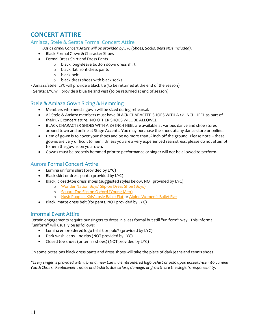# <span id="page-10-0"></span>**CONCERT ATTIRE**

# <span id="page-10-1"></span>Amiaza, Stele & Serata Formal Concert Attire

*Basic Formal Concert Attire will be provided by LYC (Shoes, Socks, Belts NOT Included).*

- Black Formal Gown & Character Shoes
- Formal Dress Shirt and Dress Pants
	- o black long-sleeve button down dress shirt
	- o black flat front dress pants
	- o black belt
	- o black dress shoes with black socks
- ‣ Amiaza/Stele: LYC will provide a black tie (to be returned at the end of the season)
- ‣ Serata: LYC will provide a blue tie and vest (to be returned at end of season)

# <span id="page-10-2"></span>Stele & Amiaza Gown Sizing & Hemming

- Members who need a gown will be sized during rehearsal.
- All Stele & Amiaza members must have BLACK CHARACTER SHOES WITH A 1½ INCH HEEL as part of their LYC concert attire. NO OTHER SHOES WILL BE ALLOWED.
- BLACK CHARACTER SHOES WITH A 1½ INCH HEEL are available at various dance and shoe stores around town and online at Stage Accents. You may purchase the shoes at any dance store or online.
- Hem of gown is to cover your shoes and be no more than  $\frac{1}{2}$  inch off the ground. Please note these gowns are very difficult to hem. Unless you are a very experienced seamstress, please do not attempt to hem the gowns on your own.
- Gowns must be properly hemmed prior to performance or singer will not be allowed to perform.

# <span id="page-10-3"></span>Aurora Formal Concert Attire

- Lumina uniform shirt (provided by LYC)
- Black skirt or dress pants (provided by LYC)
- Black, closed-toe dress shoes (suggested styles below, NOT provided by LYC)
	- o Wonder Nation Boys' [Slip-on Dress](https://www.walmart.com/ip/Wonder-Nation-Boys-Slip-On-Dress-Shoe-Little-Boys-Big-Boys/651717190) Shoe (Boys)
	- o [Square T](https://www.walmart.com/ip/George-Men-s-Metropolis-Square-Toe-Slip-On-Oxford-Dress-Shoe/667210771)oe Slip-on Oxford (Young Men)
	- o Hush Puppies Kids' [Josie Ballet](https://www.walmart.com/ip/Girls-Hush-Puppies-Josie-Ballet-Flat/807135782) Flat or [Alpine Women's](https://www.walmart.com/ip/Alpine-Swiss-Pierina-Womens-Ballet-Flats-Leather-Lined-Classic-Slip-On-Shoes/171011778?wpa_bd&wpa_pg_seller_id=6ED6480FF7CB494FB83366D7D826D993&wpa_ref_id=wpaqs%3AhKksGTeVXIcahsni9Ptdps_wNkqo_Ava9ZamT3mbnC1leUjmOKKe22Kmi0xzkprRXAiQF-PzsLhl6wVkOo6gFCO9WJPGpYzeK3gHB3uuD0U93wHj00EHsnjwIhCrHWOV5x5SHyOI0e4tHrIAU7mCX4IRBiCSVNP9UEAbzZRyr2e2jdtac-ZMvoIrZkeHgLOP4t1OCtD9WKsGqRyfP49k9w&wpa_tag&wpa_aux_info&wpa_pos=1&wpa_plmt=1145x1145_T-C-IG_TI_1-6_HL-INGRID-GRID-NY&wpa_aduid=3c1f0da9-43bd-46e6-a6b5-3f2ef1ca2172&wpa_pg=browse&wpa_pg_id=5438_1045804_1045806_3339745&wpa_st=Womens%2BFlats&wpa_tax=5438_1045804_1045806_3339745&wpa_bucket=__bkt__) Ballet Flat
- Black, matte dress belt (for pants, NOT provided by LYC)

# <span id="page-10-4"></span>Informal Event Attire

Certain engagements require our singers to dress in a less formal but still "uniform" way. This informal "uniform" will usually be as follows:

- Lumina embroidered logo t-shirt or polo\* (provided by LYC)
- Dark wash jeans no rips (NOT provided by LYC)
- Closed toe shoes (or tennis shoes) (NOT provided by LYC)

On some occasions black dress pants and dress shoes will take the place of dark jeans and tennis shoes.

*\*Every singer is provided with a brand, new Lumina embroidered logo t-shirt or polo upon acceptance into Lumina Youth Choirs. Replacement polos and t-shirts due to loss, damage, or growth are the singer's responsibility.*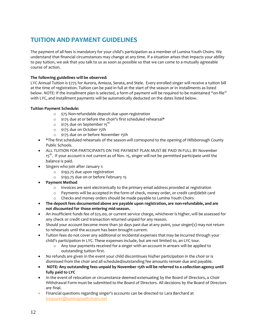# <span id="page-11-0"></span>**TUITION AND PAYMENT GUIDELINES**

The payment of all fees is mandatory for your child's participation as a member of Lumina Youth Choirs. We understand that financial circumstances may change at any time. If a situation arises that impacts your ability to pay tuition, we ask that you talk to us as soon as possible so that we can come to a mutually agreeable course of action.

## **The following guidelines will be observed:**

LYC Annual Tuition is \$775 for Aurora, Amiaza, Serata, and Stele. Every enrolled singer will receive a tuition bill at the time of registration. Tuition can be paid in full at the start of the season or in installments as listed below. NOTE: If the installment plan is selected, a form of payment will be required to be maintained "on-file" with LYC, and installment payments will be automatically deducted on the dates listed below.

## **Tuition Payment Schedule:**

- o \$75 Non-refundable deposit due upon registration
- o \$175 due at or before the choir's first scheduled rehearsal\*
- $\circ$  \$175 due on September 15<sup>th</sup>
- o \$175 due on October 15th
- o \$175 due on or before November 15th
- \* The first scheduled rehearsals of the season will correspond to the opening of Hillsborough County Public Schools.
- ALL TUITION FOR PARTICIPANTS ON THE PAYMENT PLAN MUST BE PAID IN FULL BY November 15 $^{\rm th}$ . If your account is not current as of Nov. 15, singer will not be permitted participate until the balance is paid.
- Singers who join after January 1:
	- o \$193.75 due upon registration
	- o \$193.75 due on or before February 15
- **Payment Method**
	- $\circ$  Invoices are sent electronically to the primary email address provided at registration
	- o Payments will be accepted in the form of check, money order, or credit card/debit card
	- $\circ$  Checks and money orders should be made payable to Lumina Youth Choirs
- **The deposit fees documented above are payable upon registration, are non-refundable, and are not discounted for those entering mid-season.**
- An insufficient funds fee of \$25.00, or current service charge, whichever is higher, will be assessed for any check or credit card transaction returned unpaid for any reason.
- Should your account become more than 30 days past due at any point, your singer(s) may not return to rehearsals until the account has been brought current.
- Tuition fees do not cover any additional or incidental expenses that may be incurred through your child's participation in LYC. These expenses include, but are not limited to, an LYC tour.
	- $\circ$  Any tour payments received for a singer with an account in arrears will be applied to outstanding tuition first.
- No refunds are given in the event your child discontinues his/her participation in the choir or is dismissed from the choir and all scheduled/outstanding fee amounts remain due and payable.
- **NOTE: Any outstanding fees unpaid by November 15th will be referred to a collection agency until fully paid to LYC**
- In the event of relocation or circumstance deemed extenuating by the Board of Directors, a Choir Withdrawal Form must be submitted to the Board of Directors. All decisions by the Board of Directors are final.
- Financial questions regarding singer's accounts can be directed to Lara Barchard at [treasurer@luminayouthchoirs.net](mailto:treasurer@luminayouthchoirs.net)